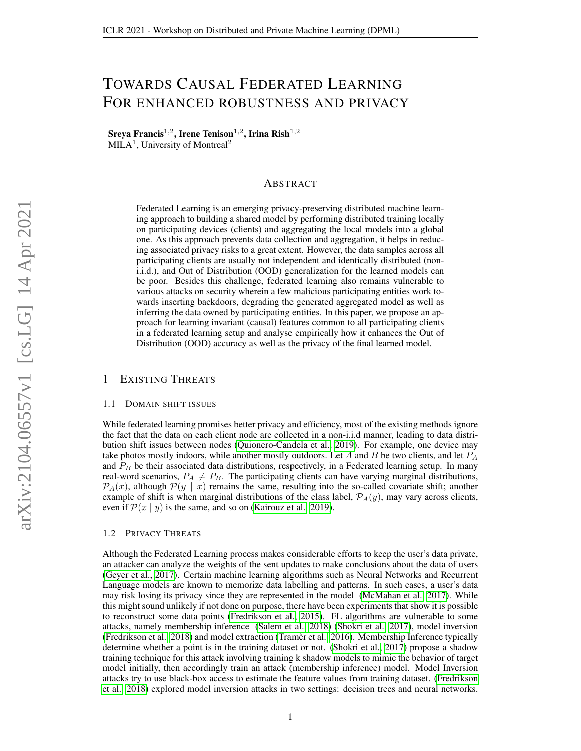# TOWARDS CAUSAL FEDERATED LEARNING FOR ENHANCED ROBUSTNESS AND PRIVACY

 $\rm S$ reya Francis $^{1,2}$ , Irene Tenison $^{1,2}$ , Irina Rish $^{1,2}$ MILA<sup>1</sup>, University of Montreal<sup>2</sup>

#### ABSTRACT

Federated Learning is an emerging privacy-preserving distributed machine learning approach to building a shared model by performing distributed training locally on participating devices (clients) and aggregating the local models into a global one. As this approach prevents data collection and aggregation, it helps in reducing associated privacy risks to a great extent. However, the data samples across all participating clients are usually not independent and identically distributed (noni.i.d.), and Out of Distribution (OOD) generalization for the learned models can be poor. Besides this challenge, federated learning also remains vulnerable to various attacks on security wherein a few malicious participating entities work towards inserting backdoors, degrading the generated aggregated model as well as inferring the data owned by participating entities. In this paper, we propose an approach for learning invariant (causal) features common to all participating clients in a federated learning setup and analyse empirically how it enhances the Out of Distribution (OOD) accuracy as well as the privacy of the final learned model.

### 1 EXISTING THREATS

#### 1.1 DOMAIN SHIFT ISSUES

While federated learning promises better privacy and efficiency, most of the existing methods ignore the fact that the data on each client node are collected in a non-i.i.d manner, leading to data distribution shift issues between nodes [\(Quionero-Candela et al., 2019\)](#page-5-0). For example, one device may take photos mostly indoors, while another mostly outdoors. Let A and B be two clients, and let  $P_A$ and  $P_B$  be their associated data distributions, respectively, in a Federated learning setup. In many real-word scenarios,  $P_A \neq P_B$ . The participating clients can have varying marginal distributions,  $\mathcal{P}_A(x)$ , although  $\mathcal{P}(y \mid x)$  remains the same, resulting into the so-called covariate shift; another example of shift is when marginal distributions of the class label,  $P_A(y)$ , may vary across clients, even if  $\mathcal{P}(x \mid y)$  is the same, and so on [\(Kairouz et al., 2019\)](#page-4-0).

#### 1.2 PRIVACY THREATS

Although the Federated Learning process makes considerable efforts to keep the user's data private, an attacker can analyze the weights of the sent updates to make conclusions about the data of users [\(Geyer et al., 2017\)](#page-4-1). Certain machine learning algorithms such as Neural Networks and Recurrent Language models are known to memorize data labelling and patterns. In such cases, a user's data may risk losing its privacy since they are represented in the model [\(McMahan et al., 2017\)](#page-5-1). While this might sound unlikely if not done on purpose, there have been experiments that show it is possible to reconstruct some data points [\(Fredrikson et al., 2015\)](#page-4-2). FL algorithms are vulnerable to some attacks, namely membership inference [\(Salem et al., 2018\)](#page-5-2) [\(Shokri et al., 2017\)](#page-5-3), model inversion [\(Fredrikson et al., 2018\)](#page-4-3) and model extraction [\(Tramer et al., 2016\)](#page-5-4). Membership Inference typically ` determine whether a point is in the training dataset or not. [\(Shokri et al., 2017\)](#page-5-3) propose a shadow training technique for this attack involving training k shadow models to mimic the behavior of target model initially, then accordingly train an attack (membership inference) model. Model Inversion attacks try to use black-box access to estimate the feature values from training dataset. [\(Fredrikson](#page-4-3) [et al., 2018\)](#page-4-3) explored model inversion attacks in two settings: decision trees and neural networks.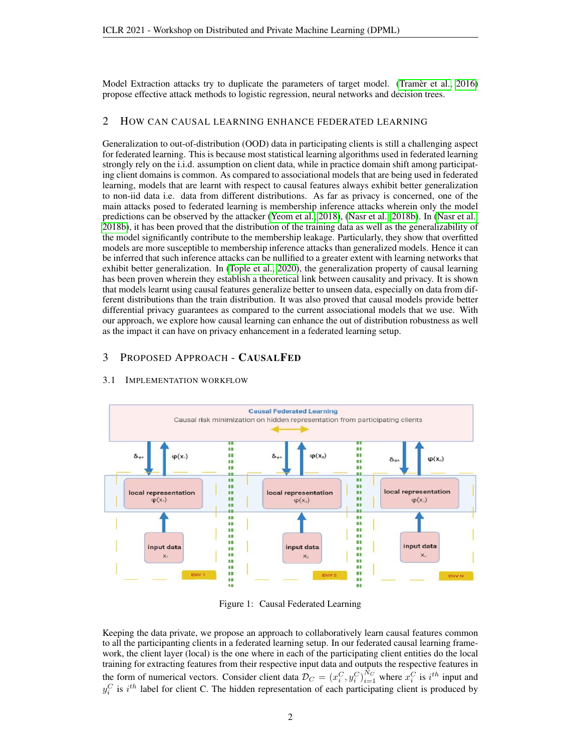Model Extraction attacks try to duplicate the parameters of target model. [\(Tramer et al., 2016\)](#page-5-4) propose effective attack methods to logistic regression, neural networks and decision trees.

# 2 HOW CAN CAUSAL LEARNING ENHANCE FEDERATED LEARNING

Generalization to out-of-distribution (OOD) data in participating clients is still a challenging aspect for federated learning. This is because most statistical learning algorithms used in federated learning strongly rely on the i.i.d. assumption on client data, while in practice domain shift among participating client domains is common. As compared to associational models that are being used in federated learning, models that are learnt with respect to causal features always exhibit better generalization to non-iid data i.e. data from different distributions. As far as privacy is concerned, one of the main attacks posed to federated learning is membership inference attacks wherein only the model predictions can be observed by the attacker [\(Yeom et al., 2018\)](#page-5-5), [\(Nasr et al., 2018b\)](#page-5-6). In [\(Nasr et al.,](#page-5-6) [2018b\)](#page-5-6), it has been proved that the distribution of the training data as well as the generalizability of the model significantly contribute to the membership leakage. Particularly, they show that overfitted models are more susceptible to membership inference attacks than generalized models. Hence it can be inferred that such inference attacks can be nullified to a greater extent with learning networks that exhibit better generalization. In [\(Tople et al., 2020\)](#page-5-7), the generalization property of causal learning has been proven wherein they establish a theoretical link between causality and privacy. It is shown that models learnt using causal features generalize better to unseen data, especially on data from different distributions than the train distribution. It was also proved that causal models provide better differential privacy guarantees as compared to the current associational models that we use. With our approach, we explore how causal learning can enhance the out of distribution robustness as well as the impact it can have on privacy enhancement in a federated learning setup.

#### 3 PROPOSED APPROACH - CAUSALFED



#### 3.1 IMPLEMENTATION WORKFLOW

Figure 1: Causal Federated Learning

Keeping the data private, we propose an approach to collaboratively learn causal features common to all the participanting clients in a federated learning setup. In our federated causal learning framework, the client layer (local) is the one where in each of the participating client entities do the local training for extracting features from their respective input data and outputs the respective features in the form of numerical vectors. Consider client data  $\mathcal{D}_C = (x_i^C, y_i^C)_{i=1}^{N_C}$  where  $x_i^C$  is  $i^{th}$  input and  $y_i^C$  is  $i^{th}$  label for client C. The hidden representation of each participating client is produced by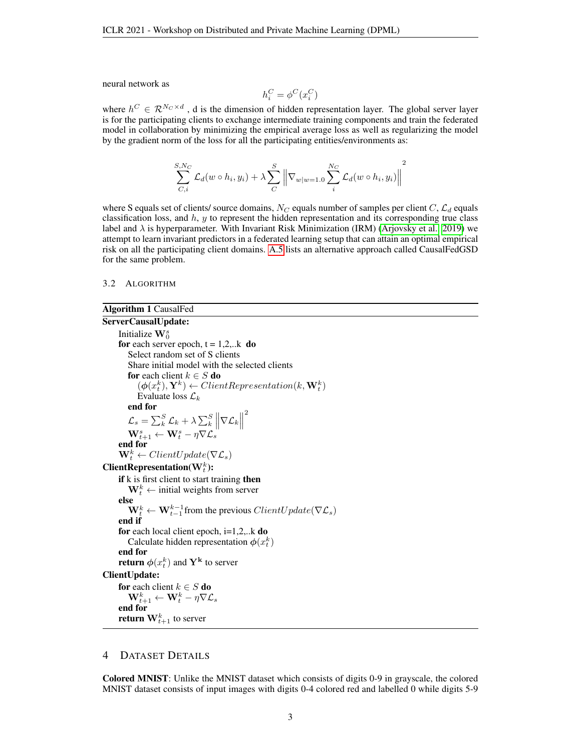neural network as

$$
h_i^C = \phi^C(x_i^C)
$$

where  $h^C \in \mathcal{R}^{N_C \times d}$ , d is the dimension of hidden representation layer. The global server layer is for the participating clients to exchange intermediate training components and train the federated model in collaboration by minimizing the empirical average loss as well as regularizing the model by the gradient norm of the loss for all the participating entities/environments as:

$$
\sum_{C,i}^{S,N_C} \mathcal{L}_d(w \circ h_i, y_i) + \lambda \sum_C^S \left\| \nabla_{w|w=1.0} \sum_i^{N_C} \mathcal{L}_d(w \circ h_i, y_i) \right\|^2
$$

where S equals set of clients/ source domains,  $N_C$  equals number of samples per client  $C$ ,  $\mathcal{L}_d$  equals classification loss, and  $h$ ,  $y$  to represent the hidden representation and its corresponding true class label and  $\lambda$  is hyperparameter. With Invariant Risk Minimization (IRM) [\(Arjovsky et al., 2019\)](#page-4-4) we attempt to learn invariant predictors in a federated learning setup that can attain an optimal empirical risk on all the participating client domains. [A.5](#page-7-0) lists an alternative approach called CausalFedGSD for the same problem.

#### 3.2 ALGORITHM

# Algorithm 1 CausalFed ServerCausalUpdate: Initialize  $\mathbf{W}_{0}^{s}$ for each server epoch,  $t = 1, 2, ...k$  do Select random set of S clients Share initial model with the selected clients for each client  $k \in S$  do  $(\boldsymbol{\phi}(\mathbf{x}_t^k), \mathbf{Y}^k) \leftarrow ClientRepresentation(k, \mathbf{W}_t^k)$ Evaluate loss  $\mathcal{L}_k$ end for  $\mathcal{L}_s = \sum_{k}^{S} \mathcal{L}_k + \lambda \sum_{k}^{S} \left\| \nabla \mathcal{L}_k \right\|$ 2  $\mathbf{W}_{t+1}^s \leftarrow \mathbf{W}_{t}^s - \eta \nabla \mathcal{L}_s$ end for  $\mathbf{W}_t^k \leftarrow ClientUpdate(\nabla \mathcal{L}_s)$  $ClientRepresentation(W_t^k):$ if k is first client to start training then  $\mathbf{W}_t^k \leftarrow \text{initial weights from server}$ else  $\mathbf{W}_t^k \leftarrow \mathbf{W}_{t-1}^{k-1}$  from the previous  $ClientUpdate(\nabla \mathcal{L}_s)$ end if for each local client epoch,  $i=1,2,..k$  do Calculate hidden representation  $\phi(x_t^k)$ end for **return**  $\phi(x_t^k)$  and  $\mathbf{Y^k}$  to server ClientUpdate: for each client  $k \in S$  do  $\mathbf{W}_{t+1}^k \leftarrow \mathbf{W}_{t}^k - \eta \nabla \mathcal{L}_s$ end for **return**  $\mathbf{W}_{t+1}^k$  to server

#### 4 DATASET DETAILS

Colored MNIST: Unlike the MNIST dataset which consists of digits 0-9 in grayscale, the colored MNIST dataset consists of input images with digits 0-4 colored red and labelled 0 while digits 5-9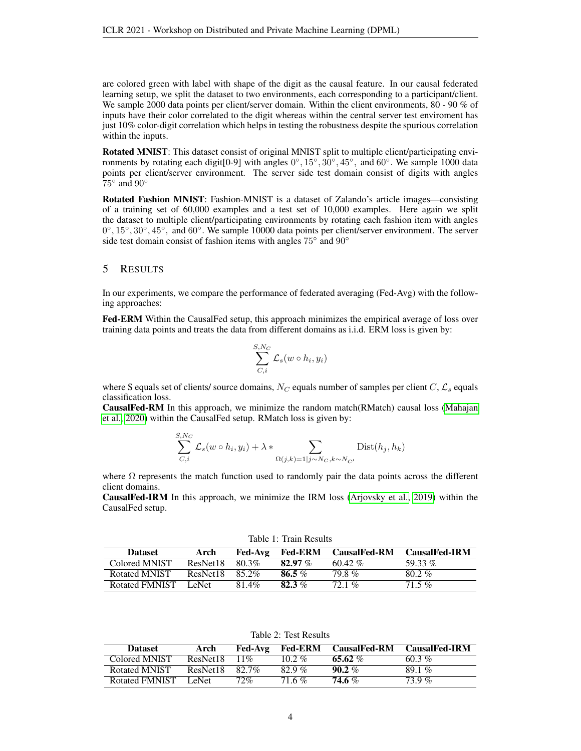are colored green with label with shape of the digit as the causal feature. In our causal federated learning setup, we split the dataset to two environments, each corresponding to a participant/client. We sample 2000 data points per client/server domain. Within the client environments, 80 - 90 % of inputs have their color correlated to the digit whereas within the central server test enviroment has just 10% color-digit correlation which helps in testing the robustness despite the spurious correlation within the inputs.

Rotated MNIST: This dataset consist of original MNIST split to multiple client/participating environments by rotating each digit[0-9] with angles  $0^{\circ}$ ,  $15^{\circ}$ ,  $30^{\circ}$ ,  $45^{\circ}$ , and  $60^{\circ}$ . We sample 1000 data points per client/server environment. The server side test domain consist of digits with angles  $75^\circ$  and  $90^\circ$ 

Rotated Fashion MNIST: Fashion-MNIST is a dataset of Zalando's article images—consisting of a training set of 60,000 examples and a test set of 10,000 examples. Here again we split the dataset to multiple client/participating environments by rotating each fashion item with angles 0°, 15°, 30°, 45°, and 60°. We sample 10000 data points per client/server environment. The server side test domain consist of fashion items with angles  $75^\circ$  and  $90^\circ$ 

#### 5 RESULTS

 $\sigma$   $\mathbf{v}$ 

In our experiments, we compare the performance of federated averaging (Fed-Avg) with the following approaches:

Fed-ERM Within the CausalFed setup, this approach minimizes the empirical average of loss over training data points and treats the data from different domains as i.i.d. ERM loss is given by:

$$
\sum_{C,i}^{S,N_C} \mathcal{L}_s(w \circ h_i, y_i)
$$

where S equals set of clients/ source domains,  $N_C$  equals number of samples per client C,  $\mathcal{L}_s$  equals classification loss.

CausalFed-RM In this approach, we minimize the random match(RMatch) causal loss [\(Mahajan](#page-5-8) [et al., 2020\)](#page-5-8) within the CausalFed setup. RMatch loss is given by:

$$
\sum_{C,i}^{S,N_C} \mathcal{L}_s(w \circ h_i, y_i) + \lambda * \sum_{\Omega(j,k)=1 \mid j \sim N_C, k \sim N_{C'}} \text{Dist}(h_j, h_k)
$$

where  $\Omega$  represents the match function used to randomly pair the data points across the different client domains.

CausalFed-IRM In this approach, we minimize the IRM loss [\(Arjovsky et al., 2019\)](#page-4-4) within the CausalFed setup.

| <b>Dataset</b>       | Arch     |       |            | Fed-Avg Fed-ERM CausalFed-RM CausalFed-IRM |           |  |
|----------------------|----------|-------|------------|--------------------------------------------|-----------|--|
| Colored MNIST        | ResNet18 | 80.3% | 82.97 $\%$ | 60.42 %                                    | 59.33 $%$ |  |
| Rotated MNIST        | ResNet18 | 852%  | 86.5 $%$   | 79.8 %                                     | $80.2\%$  |  |
| Rotated FMNIST LeNet |          | 81.4% | 82.3%      | $72.1\%$                                   | 71.5 %    |  |

Table 1: Train Results

Table 2: Test Results

| <b>Dataset</b> | Arch     | Fed-Avg  |          | <b>Fed-ERM</b> CausalFed-RM | <b>CausalFed-IRM</b> |
|----------------|----------|----------|----------|-----------------------------|----------------------|
| Colored MNIST  | ResNet18 | 11%      | $10.2\%$ | 65.62 $%$                   | 60.3%                |
| Rotated MNIST  | ResNet18 | $82.7\%$ | 82.9%    | $90.2\%$                    | $89.1\%$             |
| Rotated FMNIST | LeNet.   | $72\%$   | 71.6 %   | 74.6 %                      | $739\%$              |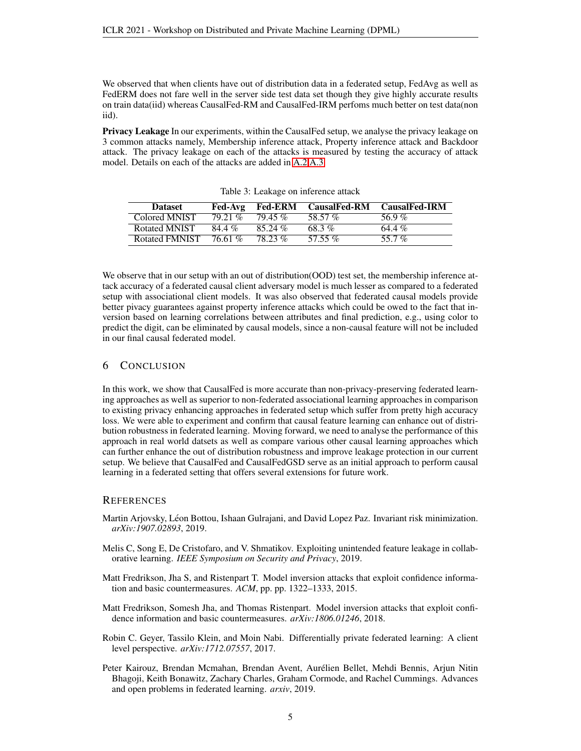We observed that when clients have out of distribution data in a federated setup, FedAvg as well as FedERM does not fare well in the server side test data set though they give highly accurate results on train data(iid) whereas CausalFed-RM and CausalFed-IRM perfoms much better on test data(non iid).

Privacy Leakage In our experiments, within the CausalFed setup, we analyse the privacy leakage on 3 common attacks namely, Membership inference attack, Property inference attack and Backdoor attack. The privacy leakage on each of the attacks is measured by testing the accuracy of attack model. Details on each of the attacks are added in [A.2](#page-6-0) [A.3.](#page-6-1)

| <b>Dataset</b> | Fed-Avg | <b>Fed-ERM</b> | <b>CausalFed-RM</b> | <b>CausalFed-IRM</b> |
|----------------|---------|----------------|---------------------|----------------------|
| Colored MNIST  | 79 21 % | $7945\%$       | 58.57 %             | 569%                 |
| Rotated MNIST  | 84.4%   | $85.24\%$      | 68.3%               | 64.4 %               |
| Rotated FMNIST | 76.61 % | $7823\%$       | 57.55 $\%$          | 55.7%                |

Table 3: Leakage on inference attack

We observe that in our setup with an out of distribution(OOD) test set, the membership inference attack accuracy of a federated causal client adversary model is much lesser as compared to a federated setup with associational client models. It was also observed that federated causal models provide better pivacy guarantees against property inference attacks which could be owed to the fact that inversion based on learning correlations between attributes and final prediction, e.g., using color to predict the digit, can be eliminated by causal models, since a non-causal feature will not be included in our final causal federated model.

# 6 CONCLUSION

In this work, we show that CausalFed is more accurate than non-privacy-preserving federated learning approaches as well as superior to non-federated associational learning approaches in comparison to existing privacy enhancing approaches in federated setup which suffer from pretty high accuracy loss. We were able to experiment and confirm that causal feature learning can enhance out of distribution robustness in federated learning. Moving forward, we need to analyse the performance of this approach in real world datsets as well as compare various other causal learning approaches which can further enhance the out of distribution robustness and improve leakage protection in our current setup. We believe that CausalFed and CausalFedGSD serve as an initial approach to perform causal learning in a federated setting that offers several extensions for future work.

#### **REFERENCES**

- <span id="page-4-4"></span>Martin Arjovsky, Léon Bottou, Ishaan Gulrajani, and David Lopez Paz. Invariant risk minimization. *arXiv:1907.02893*, 2019.
- <span id="page-4-5"></span>Melis C, Song E, De Cristofaro, and V. Shmatikov. Exploiting unintended feature leakage in collaborative learning. *IEEE Symposium on Security and Privacy*, 2019.
- <span id="page-4-2"></span>Matt Fredrikson, Jha S, and Ristenpart T. Model inversion attacks that exploit confidence information and basic countermeasures. *ACM*, pp. pp. 1322–1333, 2015.
- <span id="page-4-3"></span>Matt Fredrikson, Somesh Jha, and Thomas Ristenpart. Model inversion attacks that exploit confidence information and basic countermeasures. *arXiv:1806.01246*, 2018.
- <span id="page-4-1"></span>Robin C. Geyer, Tassilo Klein, and Moin Nabi. Differentially private federated learning: A client level perspective. *arXiv:1712.07557*, 2017.
- <span id="page-4-0"></span>Peter Kairouz, Brendan Mcmahan, Brendan Avent, Aurélien Bellet, Mehdi Bennis, Arjun Nitin Bhagoji, Keith Bonawitz, Zachary Charles, Graham Cormode, and Rachel Cummings. Advances and open problems in federated learning. *arxiv*, 2019.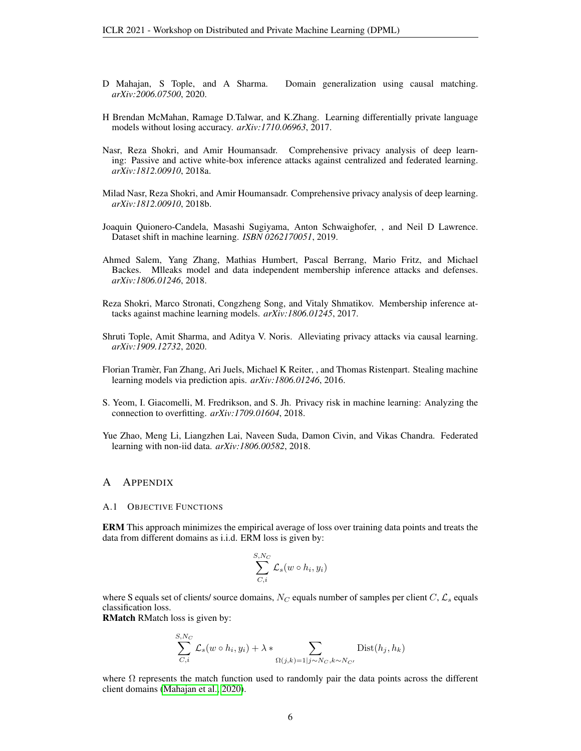- <span id="page-5-8"></span>D Mahajan, S Tople, and A Sharma. Domain generalization using causal matching. *arXiv:2006.07500*, 2020.
- <span id="page-5-1"></span>H Brendan McMahan, Ramage D.Talwar, and K.Zhang. Learning differentially private language models without losing accuracy. *arXiv:1710.06963*, 2017.
- <span id="page-5-9"></span>Nasr, Reza Shokri, and Amir Houmansadr. Comprehensive privacy analysis of deep learning: Passive and active white-box inference attacks against centralized and federated learning. *arXiv:1812.00910*, 2018a.
- <span id="page-5-6"></span>Milad Nasr, Reza Shokri, and Amir Houmansadr. Comprehensive privacy analysis of deep learning. *arXiv:1812.00910*, 2018b.
- <span id="page-5-0"></span>Joaquin Quionero-Candela, Masashi Sugiyama, Anton Schwaighofer, , and Neil D Lawrence. Dataset shift in machine learning. *ISBN 0262170051*, 2019.
- <span id="page-5-2"></span>Ahmed Salem, Yang Zhang, Mathias Humbert, Pascal Berrang, Mario Fritz, and Michael Backes. Mlleaks model and data independent membership inference attacks and defenses. *arXiv:1806.01246*, 2018.
- <span id="page-5-3"></span>Reza Shokri, Marco Stronati, Congzheng Song, and Vitaly Shmatikov. Membership inference attacks against machine learning models. *arXiv:1806.01245*, 2017.
- <span id="page-5-7"></span>Shruti Tople, Amit Sharma, and Aditya V. Noris. Alleviating privacy attacks via causal learning. *arXiv:1909.12732*, 2020.
- <span id="page-5-4"></span>Florian Tramer, Fan Zhang, Ari Juels, Michael K Reiter, , and Thomas Ristenpart. Stealing machine ` learning models via prediction apis. *arXiv:1806.01246*, 2016.
- <span id="page-5-5"></span>S. Yeom, I. Giacomelli, M. Fredrikson, and S. Jh. Privacy risk in machine learning: Analyzing the connection to overfitting. *arXiv:1709.01604*, 2018.
- <span id="page-5-10"></span>Yue Zhao, Meng Li, Liangzhen Lai, Naveen Suda, Damon Civin, and Vikas Chandra. Federated learning with non-iid data. *arXiv:1806.00582*, 2018.

#### A APPENDIX

A.1 OBJECTIVE FUNCTIONS

ERM This approach minimizes the empirical average of loss over training data points and treats the data from different domains as i.i.d. ERM loss is given by:

$$
\sum_{C,i}^{S,N_C} \mathcal{L}_s(w \circ h_i, y_i)
$$

where S equals set of clients/ source domains,  $N_C$  equals number of samples per client  $C, \mathcal{L}_s$  equals classification loss.

RMatch RMatch loss is given by:

$$
\sum_{C,i}^{S,N_C} \mathcal{L}_s(w \circ h_i, y_i) + \lambda * \sum_{\Omega(j,k)=1 | j \sim N_C, k \sim N_{C'}} \text{Dist}(h_j, h_k)
$$

where  $\Omega$  represents the match function used to randomly pair the data points across the different client domains [\(Mahajan et al., 2020\)](#page-5-8).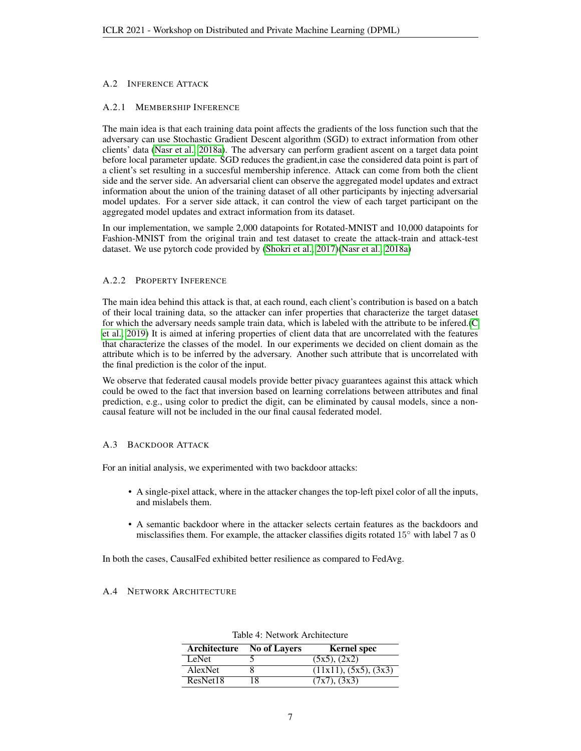# <span id="page-6-0"></span>A.2 INFERENCE ATTACK

#### A.2.1 MEMBERSHIP INFERENCE

The main idea is that each training data point affects the gradients of the loss function such that the adversary can use Stochastic Gradient Descent algorithm (SGD) to extract information from other clients' data [\(Nasr et al., 2018a\)](#page-5-9). The adversary can perform gradient ascent on a target data point before local parameter update. SGD reduces the gradient,in case the considered data point is part of a client's set resulting in a succesful membership inference. Attack can come from both the client side and the server side. An adversarial client can observe the aggregated model updates and extract information about the union of the training dataset of all other participants by injecting adversarial model updates. For a server side attack, it can control the view of each target participant on the aggregated model updates and extract information from its dataset.

In our implementation, we sample 2,000 datapoints for Rotated-MNIST and 10,000 datapoints for Fashion-MNIST from the original train and test dataset to create the attack-train and attack-test dataset. We use pytorch code provided by [\(Shokri et al., 2017\)](#page-5-3)[\(Nasr et al., 2018a\)](#page-5-9)

#### A.2.2 PROPERTY INFERENCE

The main idea behind this attack is that, at each round, each client's contribution is based on a batch of their local training data, so the attacker can infer properties that characterize the target dataset for which the adversary needs sample train data, which is labeled with the attribute to be infered.[\(C](#page-4-5) [et al., 2019\)](#page-4-5) It is aimed at infering properties of client data that are uncorrelated with the features that characterize the classes of the model. In our experiments we decided on client domain as the attribute which is to be inferred by the adversary. Another such attribute that is uncorrelated with the final prediction is the color of the input.

We observe that federated causal models provide better pivacy guarantees against this attack which could be owed to the fact that inversion based on learning correlations between attributes and final prediction, e.g., using color to predict the digit, can be eliminated by causal models, since a noncausal feature will not be included in the our final causal federated model.

#### <span id="page-6-1"></span>A.3 BACKDOOR ATTACK

For an initial analysis, we experimented with two backdoor attacks:

- A single-pixel attack, where in the attacker changes the top-left pixel color of all the inputs, and mislabels them.
- A semantic backdoor where in the attacker selects certain features as the backdoors and misclassifies them. For example, the attacker classifies digits rotated  $15°$  with label 7 as 0

In both the cases, CausalFed exhibited better resilience as compared to FedAvg.

#### A.4 NETWORK ARCHITECTURE

| Architecture | <b>No of Layers</b> | <b>Kernel</b> spec    |
|--------------|---------------------|-----------------------|
| LeNet        |                     | (5x5), (2x2)          |
| AlexNet      |                     | (11x11), (5x5), (3x3) |
| ResNet18     | 18                  | (7x7), (3x3)          |

Table 4: Network Architecture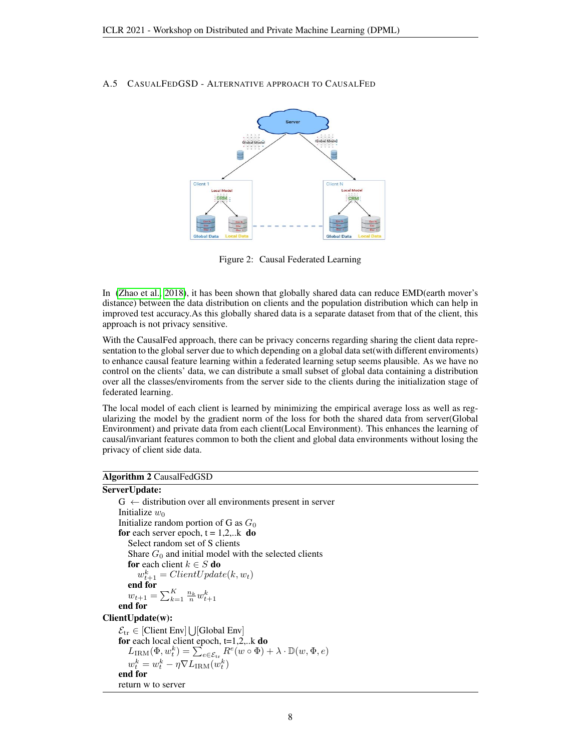#### <span id="page-7-0"></span>A.5 CASUALFEDGSD - ALTERNATIVE APPROACH TO CAUSALFED



Figure 2: Causal Federated Learning

In [\(Zhao et al., 2018\)](#page-5-10), it has been shown that globally shared data can reduce EMD(earth mover's distance) between the data distribution on clients and the population distribution which can help in improved test accuracy.As this globally shared data is a separate dataset from that of the client, this approach is not privacy sensitive.

With the CausalFed approach, there can be privacy concerns regarding sharing the client data representation to the global server due to which depending on a global data set(with different enviroments) to enhance causal feature learning within a federated learning setup seems plausible. As we have no control on the clients' data, we can distribute a small subset of global data containing a distribution over all the classes/enviroments from the server side to the clients during the initialization stage of federated learning.

The local model of each client is learned by minimizing the empirical average loss as well as regularizing the model by the gradient norm of the loss for both the shared data from server(Global Environment) and private data from each client(Local Environment). This enhances the learning of causal/invariant features common to both the client and global data environments without losing the privacy of client side data.

#### Algorithm 2 CausalFedGSD

# ServerUpdate:

```
G \leftarrow distribution over all environments present in server
     Initialize w_0Initialize random portion of G as G_0for each server epoch, t = 1,2,...k do
        Select random set of S clients
        Share G_0 and initial model with the selected clients
        for each client k \in S do
            w_{t+1}^k = ClientUpdate(k, w_t)end for
         w_{t+1} = \sum_{k=1}^{K} \frac{n_k}{n} w_{t+1}^kend for
ClientUpdate(w):
      \mathcal{E}_{tr} \in [Client \; Env] \bigcup [Global \; Env]for each local client epoch, t=1,2,...k do
         L_{\text{IRM}}(\Phi, w_t^k) = \sum_{e \in \mathcal{E}_{\text{tr}}} R^e(w \circ \Phi) + \lambda \cdot \mathbb{D}(w, \Phi, e)w_t^k = w_t^k - \eta \nabla L_{\text{IRM}}(w_t^k)end for
```